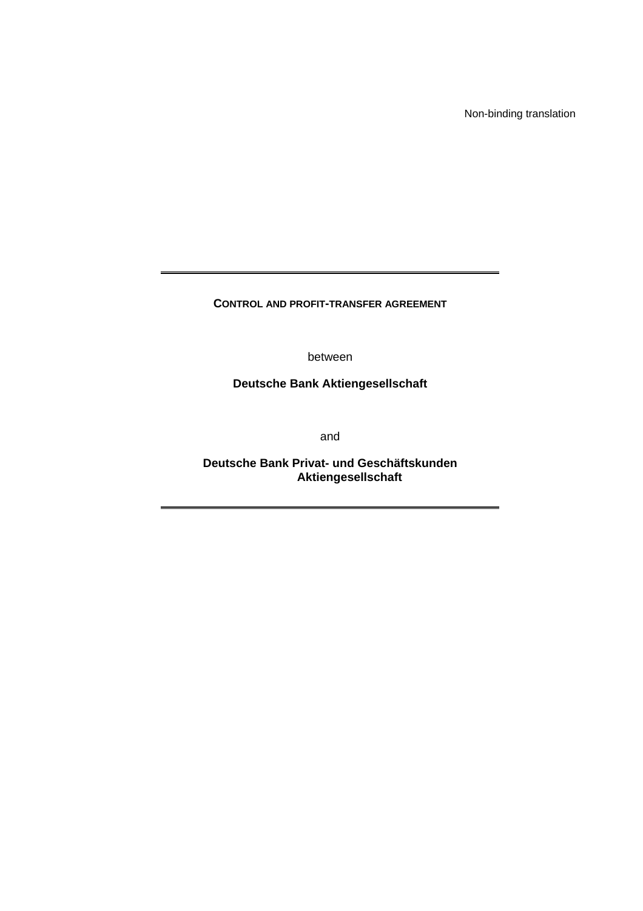Non-binding translation

**CONTROL AND PROFIT-TRANSFER AGREEMENT** 

between

**Deutsche Bank Aktiengesellschaft** 

and

**Deutsche Bank Privat- und Geschäftskunden Aktiengesellschaft**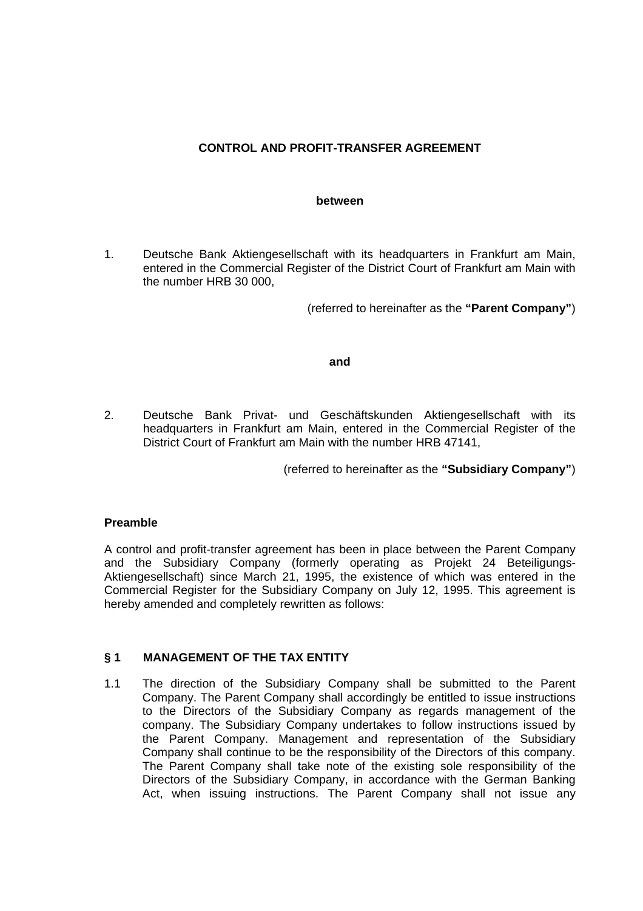# **CONTROL AND PROFIT-TRANSFER AGREEMENT**

#### **between**

1. Deutsche Bank Aktiengesellschaft with its headquarters in Frankfurt am Main, entered in the Commercial Register of the District Court of Frankfurt am Main with the number HRB 30 000,

(referred to hereinafter as the **"Parent Company"**)

## **and**

2. Deutsche Bank Privat- und Geschäftskunden Aktiengesellschaft with its headquarters in Frankfurt am Main, entered in the Commercial Register of the District Court of Frankfurt am Main with the number HRB 47141,

(referred to hereinafter as the **"Subsidiary Company"**)

# **Preamble**

A control and profit-transfer agreement has been in place between the Parent Company and the Subsidiary Company (formerly operating as Projekt 24 Beteiligungs-Aktiengesellschaft) since March 21, 1995, the existence of which was entered in the Commercial Register for the Subsidiary Company on July 12, 1995. This agreement is hereby amended and completely rewritten as follows:

## **§ 1 MANAGEMENT OF THE TAX ENTITY**

1.1 The direction of the Subsidiary Company shall be submitted to the Parent Company. The Parent Company shall accordingly be entitled to issue instructions to the Directors of the Subsidiary Company as regards management of the company. The Subsidiary Company undertakes to follow instructions issued by the Parent Company. Management and representation of the Subsidiary Company shall continue to be the responsibility of the Directors of this company. The Parent Company shall take note of the existing sole responsibility of the Directors of the Subsidiary Company, in accordance with the German Banking Act, when issuing instructions. The Parent Company shall not issue any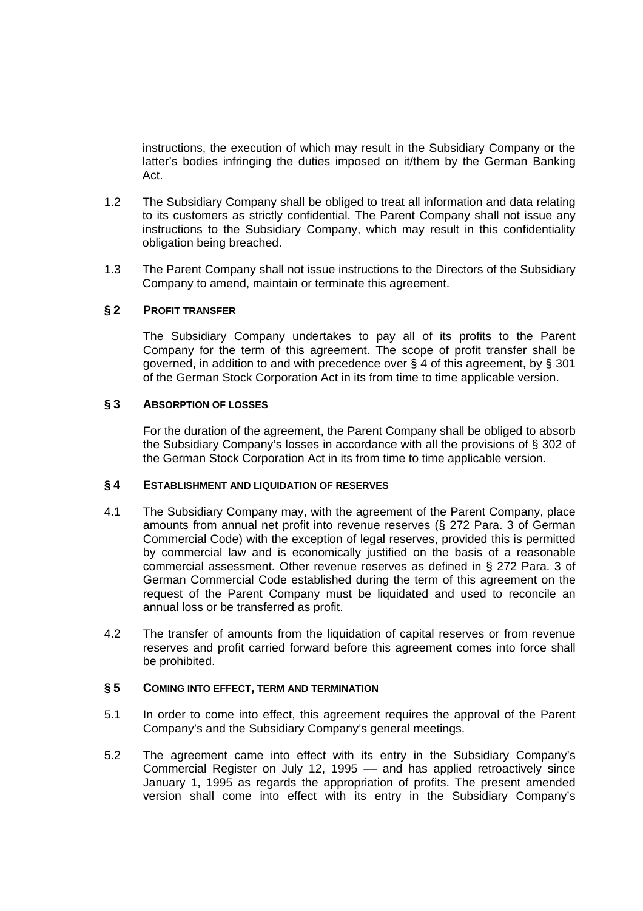instructions, the execution of which may result in the Subsidiary Company or the latter's bodies infringing the duties imposed on it/them by the German Banking Act.

- 1.2 The Subsidiary Company shall be obliged to treat all information and data relating to its customers as strictly confidential. The Parent Company shall not issue any instructions to the Subsidiary Company, which may result in this confidentiality obligation being breached.
- 1.3 The Parent Company shall not issue instructions to the Directors of the Subsidiary Company to amend, maintain or terminate this agreement.

## **§ 2 PROFIT TRANSFER**

 The Subsidiary Company undertakes to pay all of its profits to the Parent Company for the term of this agreement. The scope of profit transfer shall be governed, in addition to and with precedence over § 4 of this agreement, by § 301 of the German Stock Corporation Act in its from time to time applicable version.

## **§ 3 ABSORPTION OF LOSSES**

 For the duration of the agreement, the Parent Company shall be obliged to absorb the Subsidiary Company's losses in accordance with all the provisions of § 302 of the German Stock Corporation Act in its from time to time applicable version.

## **§ 4 ESTABLISHMENT AND LIQUIDATION OF RESERVES**

- 4.1 The Subsidiary Company may, with the agreement of the Parent Company, place amounts from annual net profit into revenue reserves (§ 272 Para. 3 of German Commercial Code) with the exception of legal reserves, provided this is permitted by commercial law and is economically justified on the basis of a reasonable commercial assessment. Other revenue reserves as defined in § 272 Para. 3 of German Commercial Code established during the term of this agreement on the request of the Parent Company must be liquidated and used to reconcile an annual loss or be transferred as profit.
- 4.2 The transfer of amounts from the liquidation of capital reserves or from revenue reserves and profit carried forward before this agreement comes into force shall be prohibited.

## **§ 5 COMING INTO EFFECT, TERM AND TERMINATION**

- 5.1 In order to come into effect, this agreement requires the approval of the Parent Company's and the Subsidiary Company's general meetings.
- 5.2 The agreement came into effect with its entry in the Subsidiary Company's Commercial Register on July 12, 1995 –– and has applied retroactively since January 1, 1995 as regards the appropriation of profits. The present amended version shall come into effect with its entry in the Subsidiary Company's